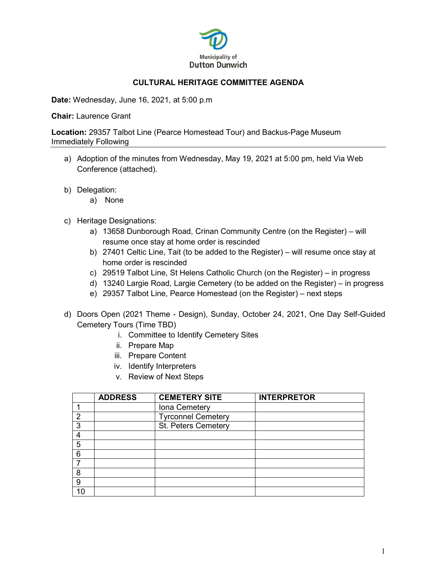

## **CULTURAL HERITAGE COMMITTEE AGENDA**

**Date:** Wednesday, June 16, 2021, at 5:00 p.m

**Chair:** Laurence Grant

**Location:** 29357 Talbot Line (Pearce Homestead Tour) and Backus-Page Museum Immediately Following

- a) Adoption of the minutes from Wednesday, May 19, 2021 at 5:00 pm, held Via Web Conference (attached).
- b) Delegation:
	- a) None
- c) Heritage Designations:
	- a) 13658 Dunborough Road, Crinan Community Centre (on the Register) will resume once stay at home order is rescinded
	- b) 27401 Celtic Line, Tait (to be added to the Register) will resume once stay at home order is rescinded
	- c) 29519 Talbot Line, St Helens Catholic Church (on the Register) in progress
	- d) 13240 Largie Road, Largie Cemetery (to be added on the Register) in progress
	- e) 29357 Talbot Line, Pearce Homestead (on the Register) next steps
- d) Doors Open (2021 Theme Design), Sunday, October 24, 2021, One Day Self-Guided Cemetery Tours (Time TBD)
	- i. Committee to Identify Cemetery Sites
	- ii. Prepare Map
	- iii. Prepare Content
	- iv. Identify Interpreters
	- v. Review of Next Steps

|     | <b>ADDRESS</b> | <b>CEMETERY SITE</b>      | <b>INTERPRETOR</b> |
|-----|----------------|---------------------------|--------------------|
|     |                | Iona Cemetery             |                    |
| າ   |                | <b>Tyrconnel Cemetery</b> |                    |
| 3   |                | St. Peters Cemetery       |                    |
|     |                |                           |                    |
| 5   |                |                           |                    |
| 6   |                |                           |                    |
|     |                |                           |                    |
| 8   |                |                           |                    |
| 9   |                |                           |                    |
| 1 ∩ |                |                           |                    |